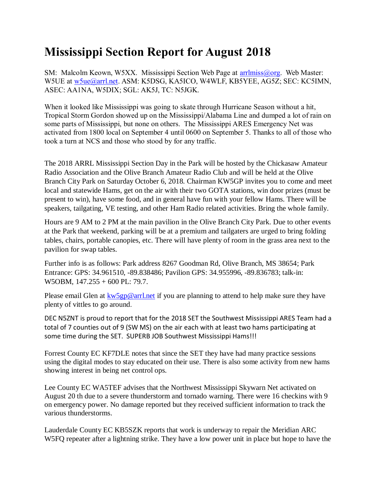## **Mississippi Section Report for August 2018**

SM: Malcolm Keown, W5XX. Mississippi Section Web Page at [arrlmiss@org.](mailto:arrlmiss@org) Web Master: W5UE at w<sub>5ue</sub>@arrl.net. ASM: K5DSG, KA5ICO, W4WLF, KB5YEE, AG5Z; SEC: KC5IMN, ASEC: AA1NA, W5DIX; SGL: AK5J, TC: N5JGK.

When it looked like Mississippi was going to skate through Hurricane Season without a hit, Tropical Storm Gordon showed up on the Mississippi/Alabama Line and dumped a lot of rain on some parts of Mississippi, but none on others. The Mississippi ARES Emergency Net was activated from 1800 local on September 4 until 0600 on September 5. Thanks to all of those who took a turn at NCS and those who stood by for any traffic.

The 2018 ARRL Mississippi Section Day in the Park will be hosted by the Chickasaw Amateur Radio Association and the Olive Branch Amateur Radio Club and will be held at the Olive Branch City Park on Saturday October 6, 2018. Chairman KW5GP invites you to come and meet local and statewide Hams, get on the air with their two GOTA stations, win door prizes (must be present to win), have some food, and in general have fun with your fellow Hams. There will be speakers, tailgating, VE testing, and other Ham Radio related activities. Bring the whole family.

Hours are 9 AM to 2 PM at the main pavilion in the Olive Branch City Park. Due to other events at the Park that weekend, parking will be at a premium and tailgaters are urged to bring folding tables, chairs, portable canopies, etc. There will have plenty of room in the grass area next to the pavilion for swap tables.

Further info is as follows: Park address 8267 Goodman Rd, Olive Branch, MS 38654; Park Entrance: GPS: 34.961510, -89.838486; Pavilion GPS: 34.955996, -89.836783; talk-in: W5OBM, 147.255 + 600 PL: 79.7.

Please email Glen at  $kw5gp@arrl.net$  if you are planning to attend to help make sure they have plenty of vittles to go around.

DEC N5ZNT is proud to report that for the 2018 SET the Southwest Mississippi ARES Team had a total of 7 counties out of 9 (SW MS) on the air each with at least two hams participating at some time during the SET. SUPERB JOB Southwest Mississippi Hams!!!

Forrest County EC KF7DLE notes that since the SET they have had many practice sessions using the digital modes to stay educated on their use. There is also some activity from new hams showing interest in being net control ops.

Lee County EC WA5TEF advises that the Northwest Mississippi Skywarn Net activated on August 20 th due to a severe thunderstorm and tornado warning. There were 16 checkins with 9 on emergency power. No damage reported but they received sufficient information to track the various thunderstorms.

Lauderdale County EC KB5SZK reports that work is underway to repair the Meridian ARC W5FQ repeater after a lightning strike. They have a low power unit in place but hope to have the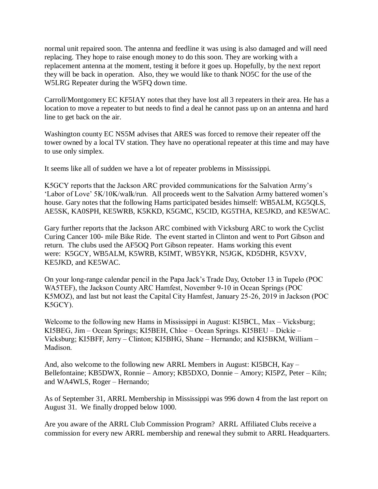normal unit repaired soon. The antenna and feedline it was using is also damaged and will need replacing. They hope to raise enough money to do this soon. They are working with a replacement antenna at the moment, testing it before it goes up. Hopefully, by the next report they will be back in operation. Also, they we would like to thank NO5C for the use of the W5LRG Repeater during the W5FQ down time.

Carroll/Montgomery EC KF5IAY notes that they have lost all 3 repeaters in their area. He has a location to move a repeater to but needs to find a deal he cannot pass up on an antenna and hard line to get back on the air.

Washington county EC NS5M advises that ARES was forced to remove their repeater off the tower owned by a local TV station. They have no operational repeater at this time and may have to use only simplex.

It seems like all of sudden we have a lot of repeater problems in Mississippi.

K5GCY reports that the Jackson ARC provided communications for the Salvation Army's 'Labor of Love' 5K/10K/walk/run. All proceeds went to the Salvation Army battered women's house. Gary notes that the following Hams participated besides himself: WB5ALM, KG5QLS, AE5SK, KA0SPH, KE5WRB, K5KKD, K5GMC, K5CID, KG5THA, KE5JKD, and KE5WAC.

Gary further reports that the Jackson ARC combined with Vicksburg ARC to work the Cyclist Curing Cancer 100- mile Bike Ride. The event started in Clinton and went to Port Gibson and return. The clubs used the AF5OQ Port Gibson repeater. Hams working this event were: K5GCY, WB5ALM, K5WRB, K5IMT, WB5YKR, N5JGK, KD5DHR, K5VXV, KE5JKD, and KE5WAC.

On your long-range calendar pencil in the Papa Jack's Trade Day, October 13 in Tupelo (POC WA5TEF), the Jackson County ARC Hamfest, November 9-10 in Ocean Springs (POC K5MOZ), and last but not least the Capital City Hamfest, January 25-26, 2019 in Jackson (POC K5GCY).

Welcome to the following new Hams in Mississippi in August: KI5BCL, Max – Vicksburg; KI5BEG, Jim – Ocean Springs; KI5BEH, Chloe – Ocean Springs. KI5BEU – Dickie – Vicksburg; KI5BFF, Jerry – Clinton; KI5BHG, Shane – Hernando; and KI5BKM, William – Madison.

And, also welcome to the following new ARRL Members in August: KI5BCH, Kay – Bellefontaine; KB5DWX, Ronnie – Amory; KB5DXO, Donnie – Amory; KI5PZ, Peter – Kiln; and WA4WLS, Roger – Hernando;

As of September 31, ARRL Membership in Mississippi was 996 down 4 from the last report on August 31. We finally dropped below 1000.

Are you aware of the ARRL Club Commission Program? ARRL Affiliated Clubs receive a commission for every new ARRL membership and renewal they submit to ARRL Headquarters.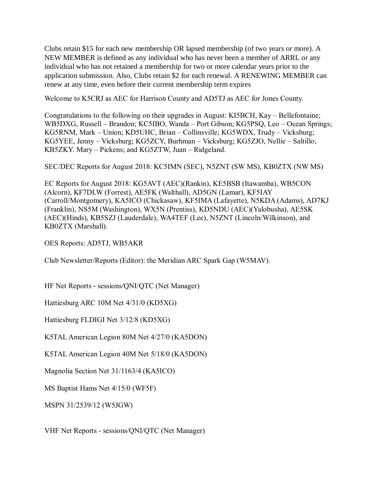Clubs retain \$15 for each new membership OR lapsed membership (of two years or more). A NEW MEMBER is defined as any individual who has never been a member of ARRL or any individual who has not retained a membership for two or more calendar years prior to the application submission. Also, Clubs retain \$2 for each renewal. A RENEWING MEMBER can renew at any time, even before their current membership term expires

Welcome to K5CRJ as AEC for Harrison County and AD5TJ as AEC for Jones County.

Congratulations to the following on their upgrades in August: KI5BCH, Kay – Bellefontaine; WB5DXG, Russell – Brandon; KC5IBO, Wanda – Port Gibson; KG5PSQ, Leo – Ocean Springs; KG5RNM, Mark – Union; KD5UHC, Brian – Collinsville; KG5WDX, Trudy – Vicksburg; KG5YEE, Jenny – Vicksburg; KG5ZCY, Burhman – Vicksburg; KG5ZJO, Nellie – Saltillo; KB5ZKY. Mary – Pickens; and KG5ZTW, Juan – Ridgeland.

SEC/DEC Reports for August 2018: KC5IMN (SEC), N5ZNT (SW MS), KB0ZTX (NW MS)

EC Reports for August 2018: KG5AVT (AEC)(Rankin), KE5BSB (Itawamba), WB5CON (Alcorn), KF7DLW (Forrest), AE5FK (Walthall), AD5GN (Lamar), KF5IAY (Carroll/Montgomery), KA5ICO (Chickasaw), KF5IMA (Lafayette), N5KDA (Adams), AD7KJ (Franklin), NS5M (Washington), WX5N (Prentiss), KD5NDU (AEC)(Yalobusha), AE5SK (AEC)(Hinds), KB5SZJ (Lauderdale), WA4TEF (Lee), N5ZNT (Lincoln/Wilkinson), and KB0ZTX (Marshall).

OES Reports: AD5TJ, WB5AKR

Club Newsletter/Reports (Editor): the Meridian ARC Spark Gap (W5MAV).

HF Net Reports - sessions/QNI/QTC (Net Manager)

Hattiesburg ARC 10M Net 4/31/0 (KD5XG)

Hattiesburg FLDIGI Net 3/12/8 (KD5XG)

K5TAL American Legion 80M Net 4/27/0 (KA5DON)

K5TAL American Legion 40M Net 5/18/0 (KA5DON)

Magnolia Section Net 31/1163/4 (KA5ICO)

MS Baptist Hams Net 4/15/0 (WF5F)

MSPN 31/2539/12 (W5JGW)

VHF Net Reports - sessions/QNI/QTC (Net Manager)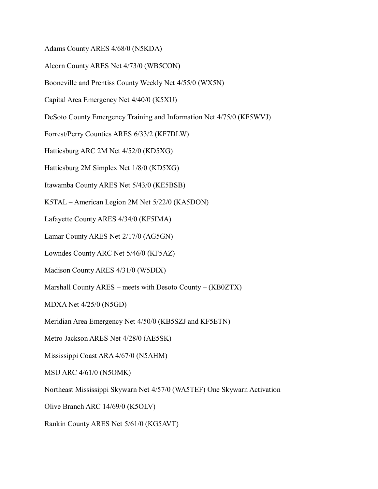Adams County ARES 4/68/0 (N5KDA)

Alcorn County ARES Net 4/73/0 (WB5CON)

Booneville and Prentiss County Weekly Net 4/55/0 (WX5N)

Capital Area Emergency Net 4/40/0 (K5XU)

DeSoto County Emergency Training and Information Net 4/75/0 (KF5WVJ)

Forrest/Perry Counties ARES 6/33/2 (KF7DLW)

Hattiesburg ARC 2M Net 4/52/0 (KD5XG)

Hattiesburg 2M Simplex Net 1/8/0 (KD5XG)

Itawamba County ARES Net 5/43/0 (KE5BSB)

K5TAL – American Legion 2M Net 5/22/0 (KA5DON)

Lafayette County ARES 4/34/0 (KF5IMA)

Lamar County ARES Net 2/17/0 (AG5GN)

Lowndes County ARC Net 5/46/0 (KF5AZ)

Madison County ARES 4/31/0 (W5DIX)

Marshall County ARES – meets with Desoto County – (KB0ZTX)

MDXA Net 4/25/0 (N5GD)

Meridian Area Emergency Net 4/50/0 (KB5SZJ and KF5ETN)

Metro Jackson ARES Net 4/28/0 (AE5SK)

Mississippi Coast ARA 4/67/0 (N5AHM)

MSU ARC 4/61/0 (N5OMK)

Northeast Mississippi Skywarn Net 4/57/0 (WA5TEF) One Skywarn Activation

Olive Branch ARC 14/69/0 (K5OLV)

Rankin County ARES Net 5/61/0 (KG5AVT)